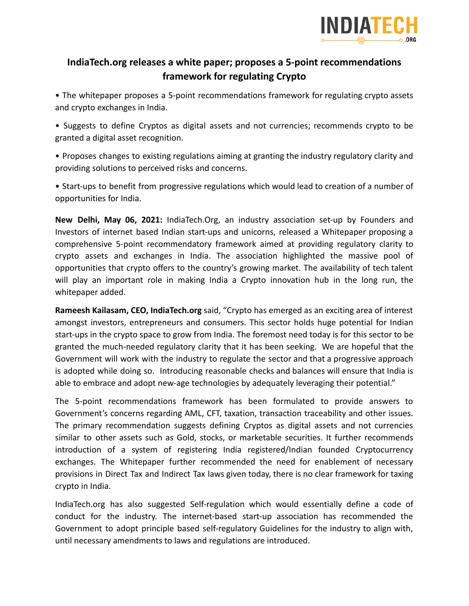

## **IndiaTech.org releases a white paper; proposes a 5-point recommendations framework for regulating Crypto**

• The whitepaper proposes a 5-point recommendations framework for regulating crypto assets and crypto exchanges in India.

• Suggests to define Cryptos as digital assets and not currencies; recommends crypto to be granted a digital asset recognition.

• Proposes changes to existing regulations aiming at granting the industry regulatory clarity and providing solutions to perceived risks and concerns.

• Start-ups to benefit from progressive regulations which would lead to creation of a number of opportunities for India.

**New Delhi, May 06, 2021:** IndiaTech.Org, an industry association set-up by Founders and Investors of internet based Indian start-ups and unicorns, released a Whitepaper proposing a comprehensive 5-point recommendatory framework aimed at providing regulatory clarity to crypto assets and exchanges in India. The association highlighted the massive pool of opportunities that crypto offers to the country's growing market. The availability of tech talent will play an important role in making India a Crypto innovation hub in the long run, the whitepaper added.

**Rameesh Kailasam, CEO, IndiaTech.org** said, "Crypto has emerged as an exciting area of interest amongst investors, entrepreneurs and consumers. This sector holds huge potential for Indian start-ups in the crypto space to grow from India. The foremost need today is for this sector to be granted the much-needed regulatory clarity that it has been seeking. We are hopeful that the Government will work with the industry to regulate the sector and that a progressive approach is adopted while doing so. Introducing reasonable checks and balances will ensure that India is able to embrace and adopt new-age technologies by adequately leveraging their potential."

The 5-point recommendations framework has been formulated to provide answers to Government's concerns regarding AML, CFT, taxation, transaction traceability and other issues. The primary recommendation suggests defining Cryptos as digital assets and not currencies similar to other assets such as Gold, stocks, or marketable securities. It further recommends introduction of a system of registering India registered/Indian founded Cryptocurrency exchanges. The Whitepaper further recommended the need for enablement of necessary provisions in Direct Tax and Indirect Tax laws given today, there is no clear framework for taxing crypto in India.

IndiaTech.org has also suggested Self-regulation which would essentially define a code of conduct for the industry. The internet-based start-up association has recommended the Government to adopt principle based self-regulatory Guidelines for the industry to align with, until necessary amendments to laws and regulations are introduced.